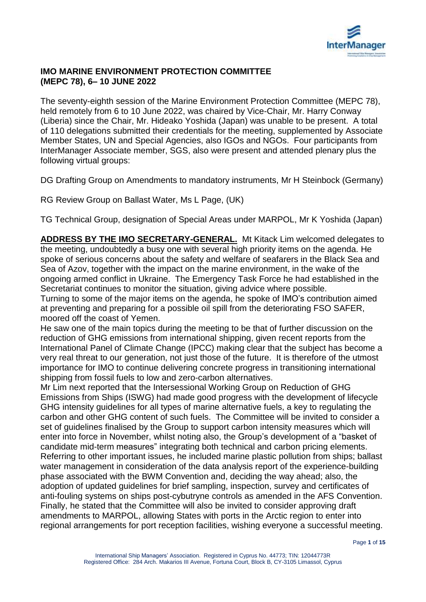

### **IMO MARINE ENVIRONMENT PROTECTION COMMITTEE (MEPC 78), 6– 10 JUNE 2022**

The seventy-eighth session of the Marine Environment Protection Committee (MEPC 78), held remotely from 6 to 10 June 2022, was chaired by Vice-Chair, Mr. Harry Conway (Liberia) since the Chair, Mr. Hideako Yoshida (Japan) was unable to be present. A total of 110 delegations submitted their credentials for the meeting, supplemented by Associate Member States, UN and Special Agencies, also IGOs and NGOs. Four participants from InterManager Associate member, SGS, also were present and attended plenary plus the following virtual groups:

DG Drafting Group on Amendments to mandatory instruments, Mr H Steinbock (Germany)

RG Review Group on Ballast Water, Ms L Page, (UK)

TG Technical Group, designation of Special Areas under MARPOL, Mr K Yoshida (Japan)

**ADDRESS BY THE IMO SECRETARY-GENERAL.** Mt Kitack Lim welcomed delegates to the meeting, undoubtedly a busy one with several high priority items on the agenda. He spoke of serious concerns about the safety and welfare of seafarers in the Black Sea and Sea of Azov, together with the impact on the marine environment, in the wake of the ongoing armed conflict in Ukraine. The Emergency Task Force he had established in the Secretariat continues to monitor the situation, giving advice where possible.

Turning to some of the major items on the agenda, he spoke of IMO's contribution aimed at preventing and preparing for a possible oil spill from the deteriorating FSO SAFER, moored off the coast of Yemen.

He saw one of the main topics during the meeting to be that of further discussion on the reduction of GHG emissions from international shipping, given recent reports from the International Panel of Climate Change (IPCC) making clear that the subject has become a very real threat to our generation, not just those of the future. It is therefore of the utmost importance for IMO to continue delivering concrete progress in transitioning international shipping from fossil fuels to low and zero-carbon alternatives.

Mr Lim next reported that the Intersessional Working Group on Reduction of GHG Emissions from Ships (ISWG) had made good progress with the development of lifecycle GHG intensity guidelines for all types of marine alternative fuels, a key to regulating the carbon and other GHG content of such fuels. The Committee will be invited to consider a set of guidelines finalised by the Group to support carbon intensity measures which will enter into force in November, whilst noting also, the Group's development of a "basket of candidate mid-term measures" integrating both technical and carbon pricing elements. Referring to other important issues, he included marine plastic pollution from ships; ballast water management in consideration of the data analysis report of the experience-building phase associated with the BWM Convention and, deciding the way ahead; also, the adoption of updated guidelines for brief sampling, inspection, survey and certificates of anti-fouling systems on ships post-cybutryne controls as amended in the AFS Convention. Finally, he stated that the Committee will also be invited to consider approving draft amendments to MARPOL, allowing States with ports in the Arctic region to enter into regional arrangements for port reception facilities, wishing everyone a successful meeting.

Page **1** of **15**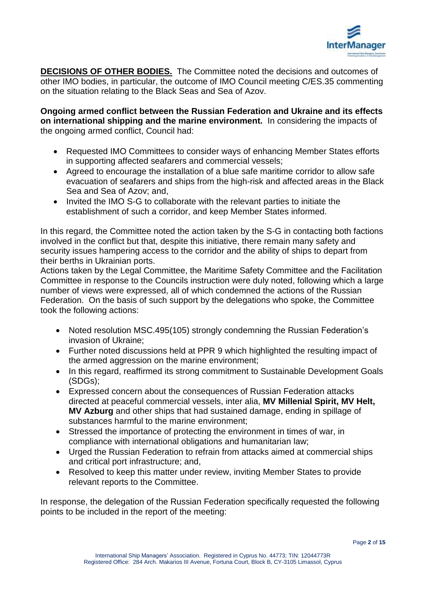

**DECISIONS OF OTHER BODIES.** The Committee noted the decisions and outcomes of other IMO bodies, in particular, the outcome of IMO Council meeting C/ES.35 commenting on the situation relating to the Black Seas and Sea of Azov.

**Ongoing armed conflict between the Russian Federation and Ukraine and its effects on international shipping and the marine environment.** In considering the impacts of the ongoing armed conflict, Council had:

- Requested IMO Committees to consider ways of enhancing Member States efforts in supporting affected seafarers and commercial vessels;
- Agreed to encourage the installation of a blue safe maritime corridor to allow safe evacuation of seafarers and ships from the high-risk and affected areas in the Black Sea and Sea of Azov; and,
- Invited the IMO S-G to collaborate with the relevant parties to initiate the establishment of such a corridor, and keep Member States informed.

In this regard, the Committee noted the action taken by the S-G in contacting both factions involved in the conflict but that, despite this initiative, there remain many safety and security issues hampering access to the corridor and the ability of ships to depart from their berths in Ukrainian ports.

Actions taken by the Legal Committee, the Maritime Safety Committee and the Facilitation Committee in response to the Councils instruction were duly noted, following which a large number of views were expressed, all of which condemned the actions of the Russian Federation. On the basis of such support by the delegations who spoke, the Committee took the following actions:

- Noted resolution MSC.495(105) strongly condemning the Russian Federation's invasion of Ukraine;
- Further noted discussions held at PPR 9 which highlighted the resulting impact of the armed aggression on the marine environment;
- In this regard, reaffirmed its strong commitment to Sustainable Development Goals (SDGs);
- Expressed concern about the consequences of Russian Federation attacks directed at peaceful commercial vessels, inter alia, **MV Millenial Spirit, MV Helt, MV Azburg** and other ships that had sustained damage, ending in spillage of substances harmful to the marine environment;
- Stressed the importance of protecting the environment in times of war, in compliance with international obligations and humanitarian law;
- Urged the Russian Federation to refrain from attacks aimed at commercial ships and critical port infrastructure; and,
- Resolved to keep this matter under review, inviting Member States to provide relevant reports to the Committee.

In response, the delegation of the Russian Federation specifically requested the following points to be included in the report of the meeting: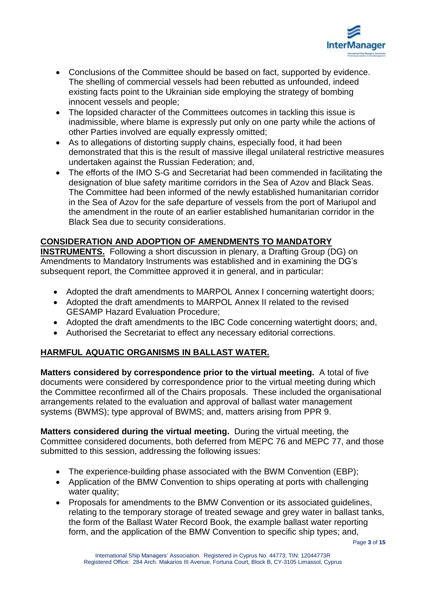

- Conclusions of the Committee should be based on fact, supported by evidence. The shelling of commercial vessels had been rebutted as unfounded, indeed existing facts point to the Ukrainian side employing the strategy of bombing innocent vessels and people;
- The lopsided character of the Committees outcomes in tackling this issue is inadmissible, where blame is expressly put only on one party while the actions of other Parties involved are equally expressly omitted;
- As to allegations of distorting supply chains, especially food, it had been demonstrated that this is the result of massive illegal unilateral restrictive measures undertaken against the Russian Federation; and,
- The efforts of the IMO S-G and Secretariat had been commended in facilitating the designation of blue safety maritime corridors in the Sea of Azov and Black Seas. The Committee had been informed of the newly established humanitarian corridor in the Sea of Azov for the safe departure of vessels from the port of Mariupol and the amendment in the route of an earlier established humanitarian corridor in the Black Sea due to security considerations.

# **CONSIDERATION AND ADOPTION OF AMENDMENTS TO MANDATORY**

**INSTRUMENTS.** Following a short discussion in plenary, a Drafting Group (DG) on Amendments to Mandatory Instruments was established and in examining the DG's subsequent report, the Committee approved it in general, and in particular:

- Adopted the draft amendments to MARPOL Annex I concerning watertight doors;
- Adopted the draft amendments to MARPOL Annex II related to the revised GESAMP Hazard Evaluation Procedure;
- Adopted the draft amendments to the IBC Code concerning watertight doors; and,
- Authorised the Secretariat to effect any necessary editorial corrections.

## **HARMFUL AQUATIC ORGANISMS IN BALLAST WATER.**

**Matters considered by correspondence prior to the virtual meeting.** A total of five documents were considered by correspondence prior to the virtual meeting during which the Committee reconfirmed all of the Chairs proposals. These included the organisational arrangements related to the evaluation and approval of ballast water management systems (BWMS); type approval of BWMS; and, matters arising from PPR 9.

**Matters considered during the virtual meeting.** During the virtual meeting, the Committee considered documents, both deferred from MEPC 76 and MEPC 77, and those submitted to this session, addressing the following issues:

- The experience-building phase associated with the BWM Convention (EBP);
- Application of the BMW Convention to ships operating at ports with challenging water quality;
- Proposals for amendments to the BMW Convention or its associated guidelines, relating to the temporary storage of treated sewage and grey water in ballast tanks, the form of the Ballast Water Record Book, the example ballast water reporting form, and the application of the BMW Convention to specific ship types; and,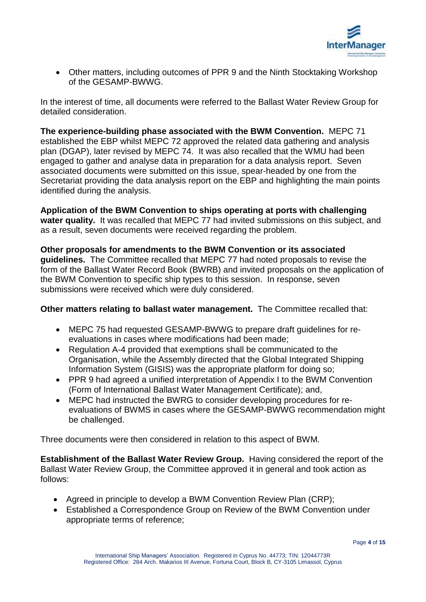

 Other matters, including outcomes of PPR 9 and the Ninth Stocktaking Workshop of the GESAMP-BWWG.

In the interest of time, all documents were referred to the Ballast Water Review Group for detailed consideration.

**The experience-building phase associated with the BWM Convention.** MEPC 71 established the EBP whilst MEPC 72 approved the related data gathering and analysis plan (DGAP), later revised by MEPC 74. It was also recalled that the WMU had been engaged to gather and analyse data in preparation for a data analysis report. Seven associated documents were submitted on this issue, spear-headed by one from the Secretariat providing the data analysis report on the EBP and highlighting the main points identified during the analysis.

**Application of the BWM Convention to ships operating at ports with challenging water quality.** It was recalled that MEPC 77 had invited submissions on this subject, and as a result, seven documents were received regarding the problem.

**Other proposals for amendments to the BWM Convention or its associated guidelines.** The Committee recalled that MEPC 77 had noted proposals to revise the form of the Ballast Water Record Book (BWRB) and invited proposals on the application of the BWM Convention to specific ship types to this session. In response, seven submissions were received which were duly considered.

**Other matters relating to ballast water management.** The Committee recalled that:

- MEPC 75 had requested GESAMP-BWWG to prepare draft guidelines for reevaluations in cases where modifications had been made;
- Regulation A-4 provided that exemptions shall be communicated to the Organisation, while the Assembly directed that the Global Integrated Shipping Information System (GISIS) was the appropriate platform for doing so;
- PPR 9 had agreed a unified interpretation of Appendix I to the BWM Convention (Form of International Ballast Water Management Certificate); and,
- MEPC had instructed the BWRG to consider developing procedures for reevaluations of BWMS in cases where the GESAMP-BWWG recommendation might be challenged.

Three documents were then considered in relation to this aspect of BWM.

**Establishment of the Ballast Water Review Group.** Having considered the report of the Ballast Water Review Group, the Committee approved it in general and took action as follows:

- Agreed in principle to develop a BWM Convention Review Plan (CRP);
- Established a Correspondence Group on Review of the BWM Convention under appropriate terms of reference;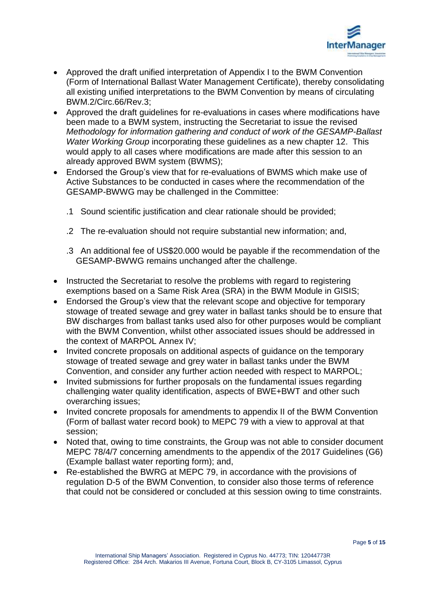

- Approved the draft unified interpretation of Appendix I to the BWM Convention (Form of International Ballast Water Management Certificate), thereby consolidating all existing unified interpretations to the BWM Convention by means of circulating BWM.2/Circ.66/Rev.3;
- Approved the draft guidelines for re-evaluations in cases where modifications have been made to a BWM system, instructing the Secretariat to issue the revised *Methodology for information gathering and conduct of work of the GESAMP-Ballast Water Working Group* incorporating these guidelines as a new chapter 12. This would apply to all cases where modifications are made after this session to an already approved BWM system (BWMS);
- Endorsed the Group's view that for re-evaluations of BWMS which make use of Active Substances to be conducted in cases where the recommendation of the GESAMP-BWWG may be challenged in the Committee:
	- .1 Sound scientific justification and clear rationale should be provided;
	- .2 The re-evaluation should not require substantial new information; and,
	- .3 An additional fee of US\$20.000 would be payable if the recommendation of the GESAMP-BWWG remains unchanged after the challenge.
- Instructed the Secretariat to resolve the problems with regard to registering exemptions based on a Same Risk Area (SRA) in the BWM Module in GISIS;
- Endorsed the Group's view that the relevant scope and objective for temporary stowage of treated sewage and grey water in ballast tanks should be to ensure that BW discharges from ballast tanks used also for other purposes would be compliant with the BWM Convention, whilst other associated issues should be addressed in the context of MARPOL Annex IV;
- Invited concrete proposals on additional aspects of quidance on the temporary stowage of treated sewage and grey water in ballast tanks under the BWM Convention, and consider any further action needed with respect to MARPOL;
- Invited submissions for further proposals on the fundamental issues regarding challenging water quality identification, aspects of BWE+BWT and other such overarching issues;
- Invited concrete proposals for amendments to appendix II of the BWM Convention (Form of ballast water record book) to MEPC 79 with a view to approval at that session;
- Noted that, owing to time constraints, the Group was not able to consider document MEPC 78/4/7 concerning amendments to the appendix of the 2017 Guidelines (G6) (Example ballast water reporting form); and,
- Re-established the BWRG at MEPC 79, in accordance with the provisions of regulation D-5 of the BWM Convention, to consider also those terms of reference that could not be considered or concluded at this session owing to time constraints.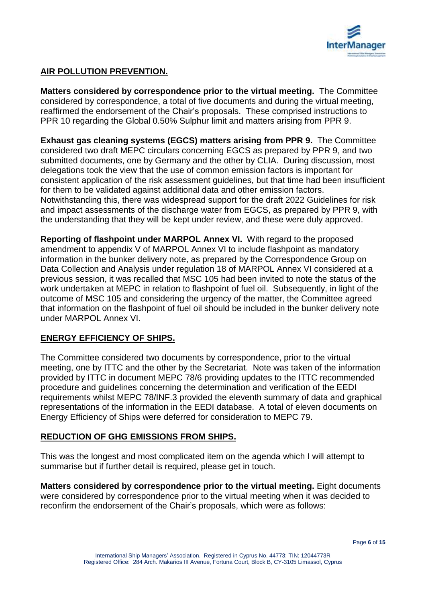

## **AIR POLLUTION PREVENTION.**

**Matters considered by correspondence prior to the virtual meeting.** The Committee considered by correspondence, a total of five documents and during the virtual meeting, reaffirmed the endorsement of the Chair's proposals. These comprised instructions to PPR 10 regarding the Global 0.50% Sulphur limit and matters arising from PPR 9.

**Exhaust gas cleaning systems (EGCS) matters arising from PPR 9.** The Committee considered two draft MEPC circulars concerning EGCS as prepared by PPR 9, and two submitted documents, one by Germany and the other by CLIA. During discussion, most delegations took the view that the use of common emission factors is important for consistent application of the risk assessment guidelines, but that time had been insufficient for them to be validated against additional data and other emission factors. Notwithstanding this, there was widespread support for the draft 2022 Guidelines for risk and impact assessments of the discharge water from EGCS, as prepared by PPR 9, with the understanding that they will be kept under review, and these were duly approved.

**Reporting of flashpoint under MARPOL Annex VI.** With regard to the proposed amendment to appendix V of MARPOL Annex VI to include flashpoint as mandatory information in the bunker delivery note, as prepared by the Correspondence Group on Data Collection and Analysis under regulation 18 of MARPOL Annex VI considered at a previous session, it was recalled that MSC 105 had been invited to note the status of the work undertaken at MEPC in relation to flashpoint of fuel oil. Subsequently, in light of the outcome of MSC 105 and considering the urgency of the matter, the Committee agreed that information on the flashpoint of fuel oil should be included in the bunker delivery note under MARPOL Annex VI.

## **ENERGY EFFICIENCY OF SHIPS.**

The Committee considered two documents by correspondence, prior to the virtual meeting, one by ITTC and the other by the Secretariat. Note was taken of the information provided by ITTC in document MEPC 78/6 providing updates to the ITTC recommended procedure and guidelines concerning the determination and verification of the EEDI requirements whilst MEPC 78/INF.3 provided the eleventh summary of data and graphical representations of the information in the EEDI database. A total of eleven documents on Energy Efficiency of Ships were deferred for consideration to MEPC 79.

## **REDUCTION OF GHG EMISSIONS FROM SHIPS.**

This was the longest and most complicated item on the agenda which I will attempt to summarise but if further detail is required, please get in touch.

**Matters considered by correspondence prior to the virtual meeting.** Eight documents were considered by correspondence prior to the virtual meeting when it was decided to reconfirm the endorsement of the Chair's proposals, which were as follows: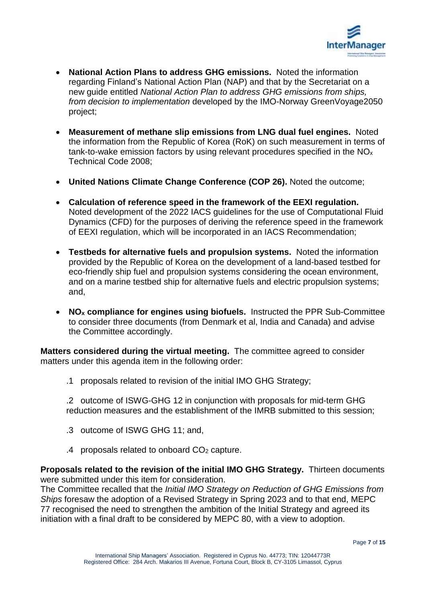

- **National Action Plans to address GHG emissions.** Noted the information regarding Finland's National Action Plan (NAP) and that by the Secretariat on a new guide entitled *National Action Plan to address GHG emissions from ships, from decision to implementation* developed by the IMO-Norway GreenVoyage2050 project;
- **Measurement of methane slip emissions from LNG dual fuel engines.** Noted the information from the Republic of Korea (RoK) on such measurement in terms of tank-to-wake emission factors by using relevant procedures specified in the NO<sup>x</sup> Technical Code 2008;
- **United Nations Climate Change Conference (COP 26).** Noted the outcome;
- **Calculation of reference speed in the framework of the EEXI regulation.** Noted development of the 2022 IACS guidelines for the use of Computational Fluid Dynamics (CFD) for the purposes of deriving the reference speed in the framework of EEXI regulation, which will be incorporated in an IACS Recommendation;
- **Testbeds for alternative fuels and propulsion systems.** Noted the information provided by the Republic of Korea on the development of a land-based testbed for eco-friendly ship fuel and propulsion systems considering the ocean environment, and on a marine testbed ship for alternative fuels and electric propulsion systems; and,
- **NO<sup>x</sup> compliance for engines using biofuels.** Instructed the PPR Sub-Committee to consider three documents (from Denmark et al, India and Canada) and advise the Committee accordingly.

**Matters considered during the virtual meeting.** The committee agreed to consider matters under this agenda item in the following order:

.1 proposals related to revision of the initial IMO GHG Strategy;

.2 outcome of ISWG-GHG 12 in conjunction with proposals for mid-term GHG reduction measures and the establishment of the IMRB submitted to this session;

- .3 outcome of ISWG GHG 11; and,
- .4 proposals related to onboard CO<sup>2</sup> capture.

**Proposals related to the revision of the initial IMO GHG Strategy.** Thirteen documents were submitted under this item for consideration.

The Committee recalled that the *Initial IMO Strategy on Reduction of GHG Emissions from Ships* foresaw the adoption of a Revised Strategy in Spring 2023 and to that end, MEPC 77 recognised the need to strengthen the ambition of the Initial Strategy and agreed its initiation with a final draft to be considered by MEPC 80, with a view to adoption.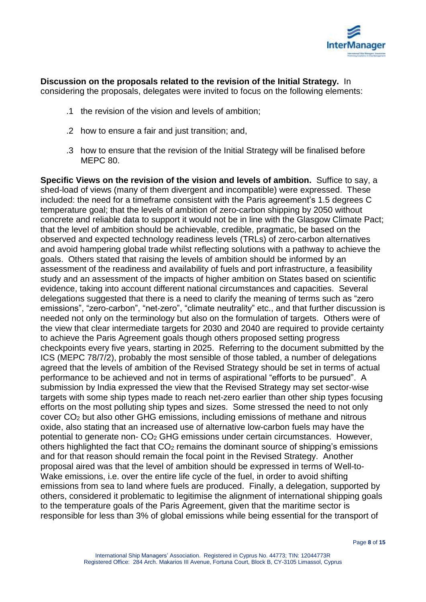

**Discussion on the proposals related to the revision of the Initial Strategy.** In considering the proposals, delegates were invited to focus on the following elements:

- .1 the revision of the vision and levels of ambition;
- .2 how to ensure a fair and just transition; and,
- .3 how to ensure that the revision of the Initial Strategy will be finalised before MEPC 80.

**Specific Views on the revision of the vision and levels of ambition.** Suffice to say, a shed-load of views (many of them divergent and incompatible) were expressed. These included: the need for a timeframe consistent with the Paris agreement's 1.5 degrees C temperature goal; that the levels of ambition of zero-carbon shipping by 2050 without concrete and reliable data to support it would not be in line with the Glasgow Climate Pact; that the level of ambition should be achievable, credible, pragmatic, be based on the observed and expected technology readiness levels (TRLs) of zero-carbon alternatives and avoid hampering global trade whilst reflecting solutions with a pathway to achieve the goals. Others stated that raising the levels of ambition should be informed by an assessment of the readiness and availability of fuels and port infrastructure, a feasibility study and an assessment of the impacts of higher ambition on States based on scientific evidence, taking into account different national circumstances and capacities. Several delegations suggested that there is a need to clarify the meaning of terms such as "zero emissions", "zero-carbon", "net-zero", "climate neutrality" etc., and that further discussion is needed not only on the terminology but also on the formulation of targets. Others were of the view that clear intermediate targets for 2030 and 2040 are required to provide certainty to achieve the Paris Agreement goals though others proposed setting progress checkpoints every five years, starting in 2025. Referring to the document submitted by the ICS (MEPC 78/7/2), probably the most sensible of those tabled, a number of delegations agreed that the levels of ambition of the Revised Strategy should be set in terms of actual performance to be achieved and not in terms of aspirational "efforts to be pursued". A submission by India expressed the view that the Revised Strategy may set sector-wise targets with some ship types made to reach net-zero earlier than other ship types focusing efforts on the most polluting ship types and sizes. Some stressed the need to not only cover CO<sup>2</sup> but also other GHG emissions, including emissions of methane and nitrous oxide, also stating that an increased use of alternative low-carbon fuels may have the potential to generate non- CO<sup>2</sup> GHG emissions under certain circumstances. However, others highlighted the fact that  $CO<sub>2</sub>$  remains the dominant source of shipping's emissions and for that reason should remain the focal point in the Revised Strategy. Another proposal aired was that the level of ambition should be expressed in terms of Well-to-Wake emissions, i.e. over the entire life cycle of the fuel, in order to avoid shifting emissions from sea to land where fuels are produced. Finally, a delegation, supported by others, considered it problematic to legitimise the alignment of international shipping goals to the temperature goals of the Paris Agreement, given that the maritime sector is responsible for less than 3% of global emissions while being essential for the transport of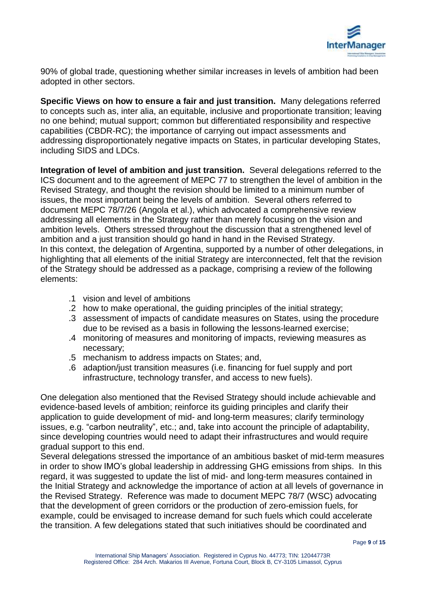

90% of global trade, questioning whether similar increases in levels of ambition had been adopted in other sectors.

**Specific Views on how to ensure a fair and just transition.** Many delegations referred to concepts such as, inter alia, an equitable, inclusive and proportionate transition; leaving no one behind; mutual support; common but differentiated responsibility and respective capabilities (CBDR-RC); the importance of carrying out impact assessments and addressing disproportionately negative impacts on States, in particular developing States, including SIDS and LDCs.

**Integration of level of ambition and just transition.** Several delegations referred to the ICS document and to the agreement of MEPC 77 to strengthen the level of ambition in the Revised Strategy, and thought the revision should be limited to a minimum number of issues, the most important being the levels of ambition. Several others referred to document MEPC 78/7/26 (Angola et al.), which advocated a comprehensive review addressing all elements in the Strategy rather than merely focusing on the vision and ambition levels. Others stressed throughout the discussion that a strengthened level of ambition and a just transition should go hand in hand in the Revised Strategy. In this context, the delegation of Argentina, supported by a number of other delegations, in highlighting that all elements of the initial Strategy are interconnected, felt that the revision of the Strategy should be addressed as a package, comprising a review of the following elements:

- .1 vision and level of ambitions
- .2 how to make operational, the guiding principles of the initial strategy;
- .3 assessment of impacts of candidate measures on States, using the procedure due to be revised as a basis in following the lessons-learned exercise;
- .4 monitoring of measures and monitoring of impacts, reviewing measures as necessary;
- .5 mechanism to address impacts on States; and,
- .6 adaption/just transition measures (i.e. financing for fuel supply and port infrastructure, technology transfer, and access to new fuels).

One delegation also mentioned that the Revised Strategy should include achievable and evidence-based levels of ambition; reinforce its guiding principles and clarify their application to guide development of mid- and long-term measures; clarify terminology issues, e.g. "carbon neutrality", etc.; and, take into account the principle of adaptability, since developing countries would need to adapt their infrastructures and would require gradual support to this end.

Several delegations stressed the importance of an ambitious basket of mid-term measures in order to show IMO's global leadership in addressing GHG emissions from ships. In this regard, it was suggested to update the list of mid- and long-term measures contained in the Initial Strategy and acknowledge the importance of action at all levels of governance in the Revised Strategy. Reference was made to document MEPC 78/7 (WSC) advocating that the development of green corridors or the production of zero-emission fuels, for example, could be envisaged to increase demand for such fuels which could accelerate the transition. A few delegations stated that such initiatives should be coordinated and

Page **9** of **15**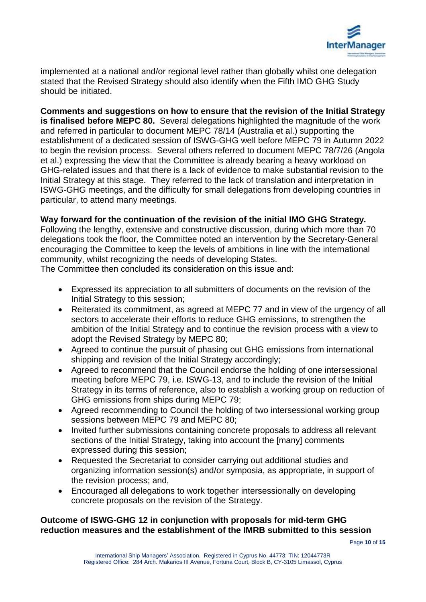

implemented at a national and/or regional level rather than globally whilst one delegation stated that the Revised Strategy should also identify when the Fifth IMO GHG Study should be initiated.

**Comments and suggestions on how to ensure that the revision of the Initial Strategy is finalised before MEPC 80.** Several delegations highlighted the magnitude of the work and referred in particular to document MEPC 78/14 (Australia et al.) supporting the establishment of a dedicated session of ISWG-GHG well before MEPC 79 in Autumn 2022 to begin the revision process. Several others referred to document MEPC 78/7/26 (Angola et al.) expressing the view that the Committee is already bearing a heavy workload on GHG-related issues and that there is a lack of evidence to make substantial revision to the Initial Strategy at this stage. They referred to the lack of translation and interpretation in ISWG-GHG meetings, and the difficulty for small delegations from developing countries in particular, to attend many meetings.

#### **Way forward for the continuation of the revision of the initial IMO GHG Strategy.**

Following the lengthy, extensive and constructive discussion, during which more than 70 delegations took the floor, the Committee noted an intervention by the Secretary-General encouraging the Committee to keep the levels of ambitions in line with the international community, whilst recognizing the needs of developing States.

The Committee then concluded its consideration on this issue and:

- Expressed its appreciation to all submitters of documents on the revision of the Initial Strategy to this session;
- Reiterated its commitment, as agreed at MEPC 77 and in view of the urgency of all sectors to accelerate their efforts to reduce GHG emissions, to strengthen the ambition of the Initial Strategy and to continue the revision process with a view to adopt the Revised Strategy by MEPC 80;
- Agreed to continue the pursuit of phasing out GHG emissions from international shipping and revision of the Initial Strategy accordingly;
- Agreed to recommend that the Council endorse the holding of one intersessional meeting before MEPC 79, i.e. ISWG-13, and to include the revision of the Initial Strategy in its terms of reference, also to establish a working group on reduction of GHG emissions from ships during MEPC 79;
- Agreed recommending to Council the holding of two intersessional working group sessions between MEPC 79 and MEPC 80;
- Invited further submissions containing concrete proposals to address all relevant sections of the Initial Strategy, taking into account the [many] comments expressed during this session;
- Requested the Secretariat to consider carrying out additional studies and organizing information session(s) and/or symposia, as appropriate, in support of the revision process; and,
- Encouraged all delegations to work together intersessionally on developing concrete proposals on the revision of the Strategy.

### **Outcome of ISWG-GHG 12 in conjunction with proposals for mid-term GHG reduction measures and the establishment of the IMRB submitted to this session**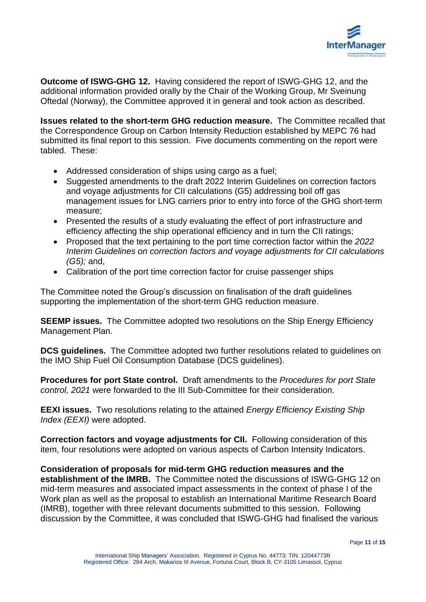

**Outcome of ISWG-GHG 12.** Having considered the report of ISWG-GHG 12, and the additional information provided orally by the Chair of the Working Group, Mr Sveinung Oftedal (Norway), the Committee approved it in general and took action as described.

**Issues related to the short-term GHG reduction measure.** The Committee recalled that the Correspondence Group on Carbon Intensity Reduction established by MEPC 76 had submitted its final report to this session. Five documents commenting on the report were tabled. These:

- Addressed consideration of ships using cargo as a fuel;
- Suggested amendments to the draft 2022 Interim Guidelines on correction factors and voyage adjustments for CII calculations (G5) addressing boil off gas management issues for LNG carriers prior to entry into force of the GHG short-term measure;
- Presented the results of a study evaluating the effect of port infrastructure and efficiency affecting the ship operational efficiency and in turn the CII ratings;
- Proposed that the text pertaining to the port time correction factor within the *2022 Interim Guidelines on correction factors and voyage adjustments for CII calculations (G5);* and,
- Calibration of the port time correction factor for cruise passenger ships

The Committee noted the Group's discussion on finalisation of the draft guidelines supporting the implementation of the short-term GHG reduction measure.

**SEEMP issues.** The Committee adopted two resolutions on the Ship Energy Efficiency Management Plan.

**DCS auidelines.** The Committee adopted two further resolutions related to guidelines on the IMO Ship Fuel Oil Consumption Database (DCS guidelines).

**Procedures for port State control.** Draft amendments to the *Procedures for port State control, 2021* were forwarded to the III Sub-Committee for their consideration.

**EEXI issues.** Two resolutions relating to the attained *Energy Efficiency Existing Ship Index (EEXI)* were adopted.

**Correction factors and voyage adjustments for CII.** Following consideration of this item, four resolutions were adopted on various aspects of Carbon Intensity Indicators.

**Consideration of proposals for mid-term GHG reduction measures and the establishment of the IMRB.** The Committee noted the discussions of ISWG-GHG 12 on mid-term measures and associated impact assessments in the context of phase I of the Work plan as well as the proposal to establish an International Maritime Research Board (IMRB), together with three relevant documents submitted to this session. Following discussion by the Committee, it was concluded that ISWG-GHG had finalised the various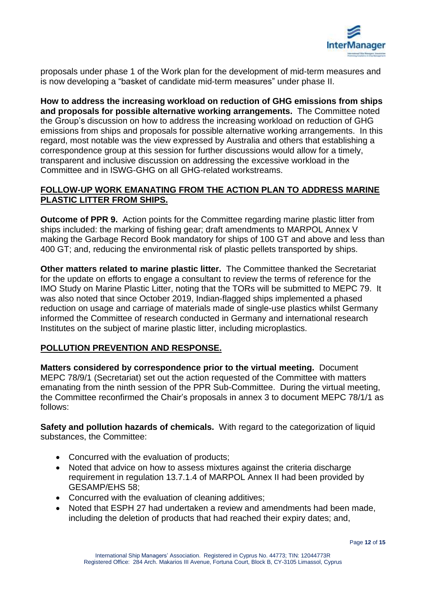

proposals under phase 1 of the Work plan for the development of mid-term measures and is now developing a "basket of candidate mid-term measures" under phase II.

**How to address the increasing workload on reduction of GHG emissions from ships and proposals for possible alternative working arrangements.** The Committee noted the Group's discussion on how to address the increasing workload on reduction of GHG emissions from ships and proposals for possible alternative working arrangements. In this regard, most notable was the view expressed by Australia and others that establishing a correspondence group at this session for further discussions would allow for a timely, transparent and inclusive discussion on addressing the excessive workload in the Committee and in ISWG-GHG on all GHG-related workstreams.

### **FOLLOW-UP WORK EMANATING FROM THE ACTION PLAN TO ADDRESS MARINE PLASTIC LITTER FROM SHIPS.**

**Outcome of PPR 9.** Action points for the Committee regarding marine plastic litter from ships included: the marking of fishing gear; draft amendments to MARPOL Annex V making the Garbage Record Book mandatory for ships of 100 GT and above and less than 400 GT; and, reducing the environmental risk of plastic pellets transported by ships.

**Other matters related to marine plastic litter.** The Committee thanked the Secretariat for the update on efforts to engage a consultant to review the terms of reference for the IMO Study on Marine Plastic Litter, noting that the TORs will be submitted to MEPC 79. It was also noted that since October 2019, Indian-flagged ships implemented a phased reduction on usage and carriage of materials made of single-use plastics whilst Germany informed the Committee of research conducted in Germany and international research Institutes on the subject of marine plastic litter, including microplastics.

## **POLLUTION PREVENTION AND RESPONSE.**

**Matters considered by correspondence prior to the virtual meeting.** Document MEPC 78/9/1 (Secretariat) set out the action requested of the Committee with matters emanating from the ninth session of the PPR Sub-Committee. During the virtual meeting, the Committee reconfirmed the Chair's proposals in annex 3 to document MEPC 78/1/1 as follows:

**Safety and pollution hazards of chemicals.** With regard to the categorization of liquid substances, the Committee:

- Concurred with the evaluation of products;
- Noted that advice on how to assess mixtures against the criteria discharge requirement in regulation 13.7.1.4 of MARPOL Annex II had been provided by GESAMP/EHS 58;
- Concurred with the evaluation of cleaning additives;
- Noted that ESPH 27 had undertaken a review and amendments had been made, including the deletion of products that had reached their expiry dates; and,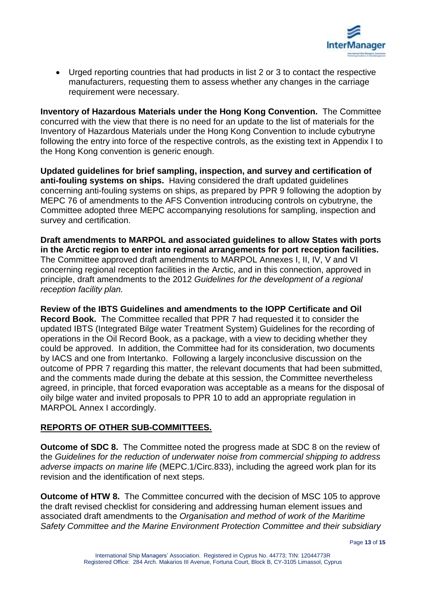

 Urged reporting countries that had products in list 2 or 3 to contact the respective manufacturers, requesting them to assess whether any changes in the carriage requirement were necessary.

**Inventory of Hazardous Materials under the Hong Kong Convention.** The Committee concurred with the view that there is no need for an update to the list of materials for the Inventory of Hazardous Materials under the Hong Kong Convention to include cybutryne following the entry into force of the respective controls, as the existing text in Appendix I to the Hong Kong convention is generic enough.

**Updated guidelines for brief sampling, inspection, and survey and certification of anti-fouling systems on ships.** Having considered the draft updated guidelines concerning anti-fouling systems on ships, as prepared by PPR 9 following the adoption by MEPC 76 of amendments to the AFS Convention introducing controls on cybutryne, the Committee adopted three MEPC accompanying resolutions for sampling, inspection and survey and certification.

**Draft amendments to MARPOL and associated guidelines to allow States with ports in the Arctic region to enter into regional arrangements for port reception facilities.**  The Committee approved draft amendments to MARPOL Annexes I, II, IV, V and VI concerning regional reception facilities in the Arctic, and in this connection, approved in principle, draft amendments to the 2012 *Guidelines for the development of a regional reception facility plan.*

**Review of the IBTS Guidelines and amendments to the IOPP Certificate and Oil Record Book.** The Committee recalled that PPR 7 had requested it to consider the updated IBTS (Integrated Bilge water Treatment System) Guidelines for the recording of operations in the Oil Record Book, as a package, with a view to deciding whether they could be approved. In addition, the Committee had for its consideration, two documents by IACS and one from Intertanko. Following a largely inconclusive discussion on the outcome of PPR 7 regarding this matter, the relevant documents that had been submitted, and the comments made during the debate at this session, the Committee nevertheless agreed, in principle, that forced evaporation was acceptable as a means for the disposal of oily bilge water and invited proposals to PPR 10 to add an appropriate regulation in MARPOL Annex I accordingly.

#### **REPORTS OF OTHER SUB-COMMITTEES.**

**Outcome of SDC 8.** The Committee noted the progress made at SDC 8 on the review of the *Guidelines for the reduction of underwater noise from commercial shipping to address adverse impacts on marine life* (MEPC.1/Circ.833), including the agreed work plan for its revision and the identification of next steps.

**Outcome of HTW 8.** The Committee concurred with the decision of MSC 105 to approve the draft revised checklist for considering and addressing human element issues and associated draft amendments to the *Organisation and method of work of the Maritime Safety Committee and the Marine Environment Protection Committee and their subsidiary*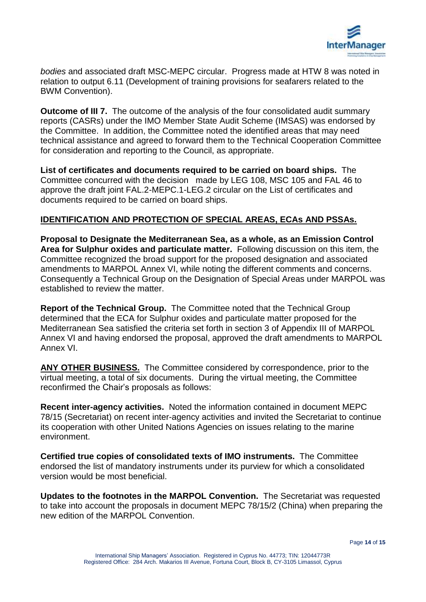

*bodies* and associated draft MSC-MEPC circular. Progress made at HTW 8 was noted in relation to output 6.11 (Development of training provisions for seafarers related to the BWM Convention).

**Outcome of III 7.** The outcome of the analysis of the four consolidated audit summary reports (CASRs) under the IMO Member State Audit Scheme (IMSAS) was endorsed by the Committee. In addition, the Committee noted the identified areas that may need technical assistance and agreed to forward them to the Technical Cooperation Committee for consideration and reporting to the Council, as appropriate.

**List of certificates and documents required to be carried on board ships.** The Committee concurred with the decision made by LEG 108, MSC 105 and FAL 46 to approve the draft joint FAL.2-MEPC.1-LEG.2 circular on the List of certificates and documents required to be carried on board ships.

### **IDENTIFICATION AND PROTECTION OF SPECIAL AREAS, ECAs AND PSSAs.**

**Proposal to Designate the Mediterranean Sea, as a whole, as an Emission Control Area for Sulphur oxides and particulate matter.** Following discussion on this item, the Committee recognized the broad support for the proposed designation and associated amendments to MARPOL Annex VI, while noting the different comments and concerns. Consequently a Technical Group on the Designation of Special Areas under MARPOL was established to review the matter.

**Report of the Technical Group.** The Committee noted that the Technical Group determined that the ECA for Sulphur oxides and particulate matter proposed for the Mediterranean Sea satisfied the criteria set forth in section 3 of Appendix III of MARPOL Annex VI and having endorsed the proposal, approved the draft amendments to MARPOL Annex VI.

**ANY OTHER BUSINESS.** The Committee considered by correspondence, prior to the virtual meeting, a total of six documents. During the virtual meeting, the Committee reconfirmed the Chair's proposals as follows:

**Recent inter-agency activities.** Noted the information contained in document MEPC 78/15 (Secretariat) on recent inter-agency activities and invited the Secretariat to continue its cooperation with other United Nations Agencies on issues relating to the marine environment.

**Certified true copies of consolidated texts of IMO instruments.** The Committee endorsed the list of mandatory instruments under its purview for which a consolidated version would be most beneficial.

**Updates to the footnotes in the MARPOL Convention.** The Secretariat was requested to take into account the proposals in document MEPC 78/15/2 (China) when preparing the new edition of the MARPOL Convention.